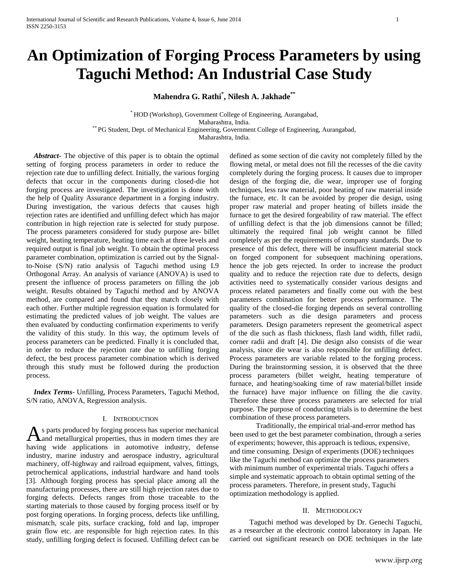# **An Optimization of Forging Process Parameters by using Taguchi Method: An Industrial Case Study**

**Mahendra G. Rathi\* , Nilesh A. Jakhade\*\***

\* HOD (Workshop), Government College of Engineering, Aurangabad, Maharashtra, India. \*\* PG Student, Dept. of Mechanical Engineering, Government College of Engineering, Aurangabad, Maharashtra, India.

 *Abstract***-** The objective of this paper is to obtain the optimal setting of forging process parameters in order to reduce the rejection rate due to unfilling defect. Initially, the various forging defects that occur in the components during closed-die hot forging process are investigated. The investigation is done with the help of Quality Assurance department in a forging industry. During investigation, the various defects that causes high rejection rates are identified and unfilling defect which has major contribution in high rejection rate is selected for study purpose. The process parameters considered for study purpose are- billet weight, heating temperature, heating time each at three levels and required output is final job weight. To obtain the optimal process parameter combination, optimization is carried out by the Signalto-Noise (S/N) ratio analysis of Taguchi method using L9 Orthogonal Array. An analysis of variance (ANOVA) is used to present the influence of process parameters on filling the job weight. Results obtained by Taguchi method and by ANOVA method, are compared and found that they match closely with each other. Further multiple regression equation is formulated for estimating the predicted values of job weight. The values are then evaluated by conducting confirmation experiments to verify the validity of this study. In this way, the optimum levels of process parameters can be predicted. Finally it is concluded that, in order to reduce the rejection rate due to unfilling forging defect, the best process parameter combination which is derived through this study must be followed during the production process.

 *Index Terms*- Unfilling, Process Parameters, Taguchi Method, S/N ratio, ANOVA, Regression analysis.

## I. INTRODUCTION

s parts produced by forging process has superior mechanical and metallurgical properties, thus in modern times they are As parts produced by forging process has superior mechanical<br>having wide applications in automotive industry, defense industry, marine industry and aerospace industry, agricultural machinery, off-highway and railroad equipment, valves, fittings, petrochemical applications, industrial hardware and hand tools [3]. Although forging process has special place among all the manufacturing processes, there are still high rejection rates due to forging defects. Defects ranges from those traceable to the starting materials to those caused by forging process itself or by post forging operations. In forging process, defects like unfilling, mismatch, scale pits, surface cracking, fold and lap, improper grain flow etc. are responsible for high rejection rates. In this study, unfilling forging defect is focused. Unfilling defect can be

defined as some section of die cavity not completely filled by the flowing metal, or metal does not fill the recesses of the die cavity completely during the forging process. It causes due to improper design of the forging die, die wear, improper use of forging techniques, less raw material, poor heating of raw material inside the furnace, etc. It can be avoided by proper die design, using proper raw material and proper heating of billets inside the furnace to get the desired forgeability of raw material. The effect of unfilling defect is that the job dimensions cannot be filled; ultimately the required final job weight cannot be filled completely as per the requirements of company standards. Due to presence of this defect, there will be insufficient material stock on forged component for subsequent machining operations, hence the job gets rejected. In order to increase the product quality and to reduce the rejection rate due to defects, design activities need to systematically consider various designs and process related parameters and finally come out with the best parameters combination for better process performance. The quality of the closed-die forging depends on several controlling parameters such as die design parameters and process parameters. Design parameters represent the geometrical aspect of the die such as flash thickness, flash land width, fillet radii, corner radii and draft [4]. Die design also consists of die wear analysis, since die wear is also responsible for unfilling defect. Process parameters are variable related to the forging process. During the brainstorming session, it is observed that the three process parameters (billet weight, heating temperature of furnace, and heating/soaking time of raw material/billet inside the furnace) have major influence on filling the die cavity. Therefore these three process parameters are selected for trial purpose. The purpose of conducting trials is to determine the best combination of these process parameters.

Traditionally, the empirical trial-and-error method has been used to get the best parameter combination, through a series of experiments; however, this approach is tedious, expensive, and time consuming. Design of experiments (DOE) techniques like the Taguchi method can optimize the process parameters with minimum number of experimental trials. Taguchi offers a simple and systematic approach to obtain optimal setting of the process parameters. Therefore, in present study, Taguchi optimization methodology is applied.

#### II. METHODOLOGY

Taguchi method was developed by Dr. Genechi Taguchi, as a researcher at the electronic control laboratory in Japan. He carried out significant research on DOE techniques in the late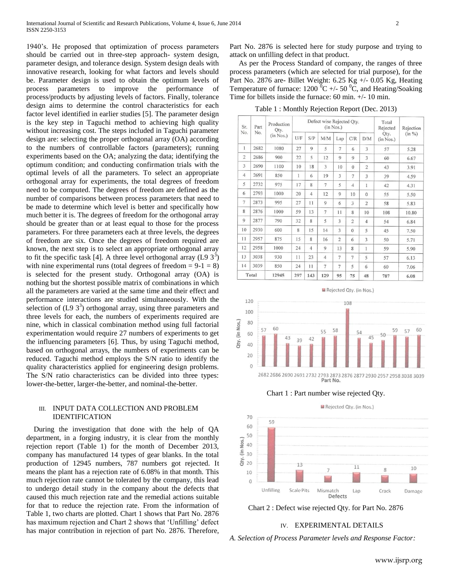1940's. He proposed that optimization of process parameters should be carried out in three-step approach- system design, parameter design, and tolerance design. System design deals with innovative research, looking for what factors and levels should be. Parameter design is used to obtain the optimum levels of process parameters to improve the performance of process/products by adjusting levels of factors. Finally, tolerance design aims to determine the control characteristics for each factor level identified in earlier studies [5]. The parameter design is the key step in Taguchi method to achieving high quality without increasing cost. The steps included in Taguchi parameter design are: selecting the proper orthogonal array (OA) according to the numbers of controllable factors (parameters); running experiments based on the OA; analyzing the data; identifying the optimum condition; and conducting confirmation trials with the optimal levels of all the parameters. To select an appropriate orthogonal array for experiments, the total degrees of freedom need to be computed. The degrees of freedom are defined as the number of comparisons between process parameters that need to be made to determine which level is better and specifically how much better it is. The degrees of freedom for the orthogonal array should be greater than or at least equal to those for the process parameters. For three parameters each at three levels, the degrees of freedom are six. Once the degrees of freedom required are known, the next step is to select an appropriate orthogonal array to fit the specific task [4]. A three level orthogonal array  $(L9 3<sup>3</sup>)$ with nine experimental runs (total degrees of freedom  $= 9-1 = 8$ ) is selected for the present study. Orthogonal array (OA) is nothing but the shortest possible matrix of combinations in which all the parameters are varied at the same time and their effect and performance interactions are studied simultaneously. With the selection of  $(L9 3^3)$  orthogonal array, using three parameters and three levels for each, the numbers of experiments required are nine, which in classical combination method using full factorial experimentation would require 27 numbers of experiments to get the influencing parameters [6]. Thus, by using Taguchi method, based on orthogonal arrays, the numbers of experiments can be reduced. Taguchi method employs the S/N ratio to identify the quality characteristics applied for engineering design problems. The S/N ratio characteristics can be divided into three types: lower-the-better, larger-the-better, and nominal-the-better.

## III. INPUT DATA COLLECTION AND PROBLEM IDENTIFICATION

 During the investigation that done with the help of QA department, in a forging industry, it is clear from the monthly rejection report (Table 1) for the month of December 2013, company has manufactured 14 types of gear blanks. In the total production of 12945 numbers, 787 numbers got rejected. It means the plant has a rejection rate of 6.08% in that month. This much rejection rate cannot be tolerated by the company, this lead to undergo detail study in the company about the defects that caused this much rejection rate and the remedial actions suitable for that to reduce the rejection rate. From the information of Table 1, two charts are plotted. Chart 1 shows that Part No. 2876 has maximum rejection and Chart 2 shows that 'Unfilling' defect has major contribution in rejection of part No. 2876. Therefore, Part No. 2876 is selected here for study purpose and trying to attack on unfilling defect in that product.

 As per the Process Standard of company, the ranges of three process parameters (which are selected for trial purpose), for the Part No. 2876 are- Billet Weight: 6.25 Kg +/- 0.05 Kg, Heating Temperature of furnace:  $1200\,^{\circ}\text{C}$  +/- 50  $^{\circ}\text{C}$ , and Heating/Soaking Time for billets inside the furnace: 60 min. +/- 10 min.

Table 1 : Monthly Rejection Report (Dec. 2013)

| Sr.            | Part  | Production<br>Qty. |     |                | Defect wise Rejected Qty. | (in Nos.)      |                |                | Total<br>Rejected | Rejection<br>$(in \%)$ |
|----------------|-------|--------------------|-----|----------------|---------------------------|----------------|----------------|----------------|-------------------|------------------------|
| No.            | No.   | (in Nos.)          | U/F | S/P            | M/M                       | Lap            | C/R            | D/M            | Qty.<br>(in Nos.) |                        |
| $\mathbf{1}$   | 2682  | 1080               | 27  | 9              | 5                         | $\overline{7}$ | 6              | 3              | 57                | 5.28                   |
| $\overline{2}$ | 2686  | 900                | 22  | 5              | 12                        | $\mathbf Q$    | $\overline{9}$ | 3              | 60                | 6.67                   |
| 3              | 2690  | 1100               | 10  | 18             | 3                         | 10             | $\theta$       | $\overline{2}$ | 43                | 3.91                   |
| $\overline{4}$ | 2691  | 850                | 1   | 6              | 19                        | 3              | $\overline{7}$ | 3              | 39                | 4.59                   |
| 5              | 2732  | 975                | 17  | 8              | 7                         | 5              | $\overline{4}$ | 1              | 42                | 4.31                   |
| 6              | 2793  | 1000               | 20  | $\overline{4}$ | 12                        | 9              | 10             | $\overline{0}$ | 55                | 5.50                   |
| $\overline{7}$ | 2873  | 995                | 27  | 11             | 9                         | 6              | 3              | $\overline{2}$ | 58                | 5.83                   |
| 8              | 2876  | 1000               | 59  | 13             | $\overline{7}$            | 11             | 8              | 10             | 108               | 10.80                  |
| 9              | 2877  | 790                | 32  | 8              | 5                         | 3              | $\overline{2}$ | $\overline{4}$ | 54                | 6.84                   |
| 10             | 2930  | 600                | 8   | 15             | 14                        | 3              | $\mathbf{0}$   | 5              | 45                | 7.50                   |
| 11             | 2957  | 875                | 15  | 8              | 16                        | $\overline{2}$ | 6              | 3              | 50                | 5.71                   |
| 12             | 2958  | 1000               | 24  | $\overline{4}$ | 9                         | 13             | 8              | 1              | 59                | 5.90                   |
| 13             | 3038  | 930                | 11  | 23             | $\overline{4}$            | 7              | $\overline{7}$ | 5              | 57                | 6.13                   |
| 14             | 3039  | 850                | 24  | 11             | $\overline{7}$            | 7              | 5              | 6              | 60                | 7.06                   |
|                | Total | 12945              | 297 | 143            | 129                       | 95             | 75             | 48             | 787               | 6.08                   |



Chart 1 : Part number wise rejected Qty.





# IV. EXPERIMENTAL DETAILS

*A. Selection of Process Parameter levels and Response Factor:*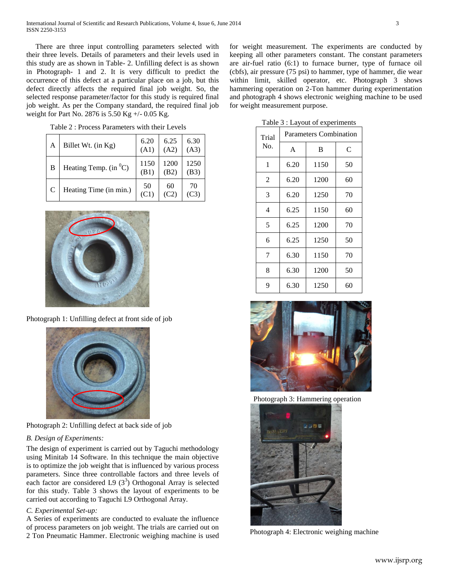There are three input controlling parameters selected with their three levels. Details of parameters and their levels used in this study are as shown in Table- 2. Unfilling defect is as shown in Photograph- 1 and 2. It is very difficult to predict the occurrence of this defect at a particular place on a job, but this defect directly affects the required final job weight. So, the selected response parameter/factor for this study is required final job weight. As per the Company standard, the required final job weight for Part No. 2876 is 5.50 Kg +/- 0.05 Kg.

| А | Billet Wt. (in Kg)            | 6.20<br>(A1) | 6.25<br>(A2) | 6.30<br>(A3) |
|---|-------------------------------|--------------|--------------|--------------|
| В | Heating Temp. (in ${}^{0}C$ ) | 1150<br>(BI  | 1200<br>(B2) | 1250<br>(B3) |
|   | Heating Time (in min.)        | 50<br>Œ.     | 60           | 70           |

Table 2 : Process Parameters with their Levels



Photograph 1: Unfilling defect at front side of job



Photograph 2: Unfilling defect at back side of job

## *B. Design of Experiments:*

The design of experiment is carried out by Taguchi methodology using Minitab 14 Software. In this technique the main objective is to optimize the job weight that is influenced by various process parameters. Since three controllable factors and three levels of each factor are considered L9 $(3^3)$  Orthogonal Array is selected for this study. Table 3 shows the layout of experiments to be carried out according to Taguchi L9 Orthogonal Array.

## *C. Experimental Set-up:*

A Series of experiments are conducted to evaluate the influence of process parameters on job weight. The trials are carried out on 2 Ton Pneumatic Hammer. Electronic weighing machine is used for weight measurement. The experiments are conducted by keeping all other parameters constant. The constant parameters are air-fuel ratio (6:1) to furnace burner, type of furnace oil (cbfs), air pressure (75 psi) to hammer, type of hammer, die wear within limit, skilled operator, etc. Photograph 3 shows hammering operation on 2-Ton hammer during experimentation and photograph 4 shows electronic weighing machine to be used for weight measurement purpose.

Table 3 : Layout of experiments

| Trial | <b>Parameters Combination</b> |      |    |  |  |  |
|-------|-------------------------------|------|----|--|--|--|
| No.   | A                             | B    | C  |  |  |  |
| 1     | 6.20                          | 1150 | 50 |  |  |  |
| 2     | 6.20                          | 1200 | 60 |  |  |  |
| 3     | 6.20                          | 1250 | 70 |  |  |  |
| 4     | 6.25                          | 1150 |    |  |  |  |
| 5     | 6.25                          | 1200 | 70 |  |  |  |
| 6     | 6.25                          | 1250 | 50 |  |  |  |
| 7     | 6.30                          | 1150 | 70 |  |  |  |
| 8     | 6.30                          |      | 50 |  |  |  |
| 9     | 6.30                          | 1250 | 60 |  |  |  |



Photograph 3: Hammering operation



Photograph 4: Electronic weighing machine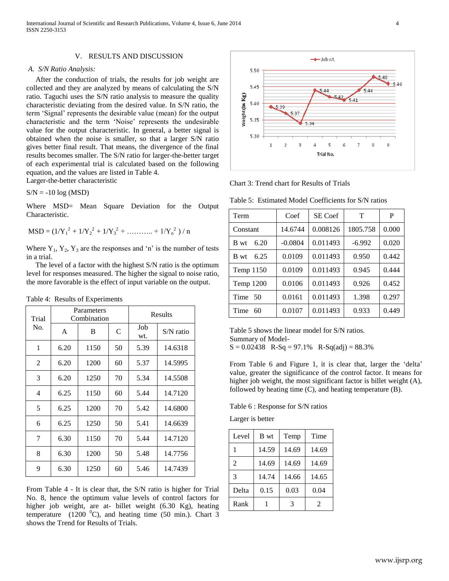## V. RESULTS AND DISCUSSION

#### *A. S/N Ratio Analysis:*

 After the conduction of trials, the results for job weight are collected and they are analyzed by means of calculating the S/N ratio. Taguchi uses the S/N ratio analysis to measure the quality characteristic deviating from the desired value. In S/N ratio, the term 'Signal' represents the desirable value (mean) for the output characteristic and the term 'Noise' represents the undesirable value for the output characteristic. In general, a better signal is obtained when the noise is smaller, so that a larger S/N ratio gives better final result. That means, the divergence of the final results becomes smaller. The S/N ratio for larger-the-better target of each experimental trial is calculated based on the following equation, and the values are listed in Table 4.

Larger-the-better characteristic

 $S/N = -10 log(MSD)$ 

Where MSD= Mean Square Deviation for the Output Characteristic.

$$
MSD = (1/Y_1^2 + 1/Y_2^2 + 1/Y_3^2 + \dots + 1/Y_n^2) / n
$$

Where  $Y_1$ ,  $Y_2$ ,  $Y_3$  are the responses and 'n' is the number of tests in a trial.

 The level of a factor with the highest S/N ratio is the optimum level for responses measured. The higher the signal to noise ratio, the more favorable is the effect of input variable on the output.

Table 4: Results of Experiments

| Trial          |      | Parameters<br>Combination | Results |            |             |
|----------------|------|---------------------------|---------|------------|-------------|
| No.            | A    | B                         | C       | Job<br>wt. | $S/N$ ratio |
| 1              | 6.20 | 1150                      | 50      | 5.39       | 14.6318     |
| $\overline{2}$ | 6.20 | 1200                      | 60      | 5.37       | 14.5995     |
| 3              | 6.20 | 1250                      | 70      | 5.34       | 14.5508     |
| 4              | 6.25 | 1150                      | 60      | 5.44       | 14.7120     |
| 5              | 6.25 | 1200                      | 70      | 5.42       | 14.6800     |
| 6              | 6.25 | 1250                      | 50      | 5.41       | 14.6639     |
| 7              | 6.30 | 1150                      | 70      | 5.44       | 14.7120     |
| 8              | 6.30 | 1200                      | 50      | 5.48       | 14.7756     |
| 9              | 6.30 | 1250                      | 60      | 5.46       | 14.7439     |

From Table 4 - It is clear that, the S/N ratio is higher for Trial No. 8, hence the optimum value levels of control factors for higher job weight, are at- billet weight (6.30 Kg), heating temperature (1200  $^0$ C), and heating time (50 min.). Chart 3 shows the Trend for Results of Trials.



Chart 3: Trend chart for Results of Trials

Table 5: Estimated Model Coefficients for S/N ratios

| Term         | Coef      | SE Coef  | т        | P     |
|--------------|-----------|----------|----------|-------|
| Constant     | 14.6744   | 0.008126 | 1805.758 | 0.000 |
| 6.20<br>B wt | $-0.0804$ | 0.011493 | $-6.992$ | 0.020 |
| 6.25<br>B wt | 0.0109    | 0.011493 | 0.950    | 0.442 |
| Temp 1150    | 0.0109    | 0.011493 | 0.945    | 0.444 |
| Temp 1200    | 0.0106    | 0.011493 | 0.926    | 0.452 |
| Time 50      | 0.0161    | 0.011493 | 1.398    | 0.297 |
| Time<br>60   | 0.0107    | 0.011493 | 0.933    | 0.449 |

Table 5 shows the linear model for S/N ratios. Summary of Model- $S = 0.02438$  R-Sq = 97.1% R-Sq(adj) = 88.3%

From Table 6 and Figure 1, it is clear that, larger the 'delta' value, greater the significance of the control factor. It means for higher job weight, the most significant factor is billet weight (A), followed by heating time (C), and heating temperature (B).

Table 6 : Response for S/N ratios

Larger is better

| Level          | B wt  | Temp  | Time  |
|----------------|-------|-------|-------|
|                | 14.59 | 14.69 | 14.69 |
| $\overline{2}$ | 14.69 | 14.69 | 14.69 |
| 3              | 14.74 | 14.66 | 14.65 |
| Delta          | 0.15  | 0.03  | 0.04  |
| Rank           |       | 3     | 2     |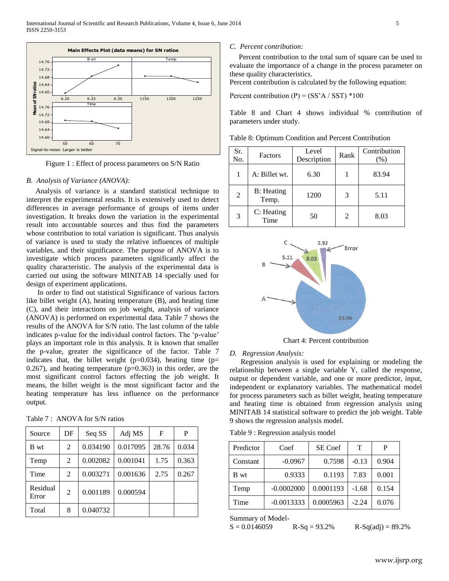

Figure 1 : Effect of process parameters on S/N Ratio

## *B. Analysis of Variance (ANOVA):*

 Analysis of variance is a standard statistical technique to interpret the experimental results. It is extensively used to detect differences in average performance of groups of items under investigation. It breaks down the variation in the experimental result into accountable sources and thus find the parameters whose contribution to total variation is significant. Thus analysis of variance is used to study the relative influences of multiple variables, and their significance. The purpose of ANOVA is to investigate which process parameters significantly affect the quality characteristic. The analysis of the experimental data is carried out using the software MINITAB 14 specially used for design of experiment applications.

**Example 19.** The state of the state and the state of the state of the state of the state of the state of the state of the state of the state of the state of the state of the state of the state of the state of the state o In order to find out statistical Significance of various factors like billet weight (A), heating temperature (B), and heating time (C), and their interactions on job weight, analysis of variance (ANOVA) is performed on experimental data. Table 7 shows the results of the ANOVA for S/N ratio. The last column of the table indicates p-value for the individual control factors. The 'p-value' plays an important role in this analysis. It is known that smaller the p-value, greater the significance of the factor. Table 7 indicates that, the billet weight ( $p=0.034$ ), heating time ( $p=$  $0.267$ ), and heating temperature ( $p=0.363$ ) in this order, are the most significant control factors effecting the job weight. It means, the billet weight is the most significant factor and the heating temperature has less influence on the performance output.

|  |  | Table 7: ANOVA for S/N ratios |
|--|--|-------------------------------|
|--|--|-------------------------------|

| Source            | DF             | Seq SS   | Adj MS   | F     | P     |
|-------------------|----------------|----------|----------|-------|-------|
| B wt              | 2              | 0.034190 | 0.017095 | 28.76 | 0.034 |
| Temp              | 2              | 0.002082 | 0.001041 | 1.75  | 0.363 |
| Time              | $\mathcal{L}$  | 0.003271 | 0.001636 | 2.75  | 0.267 |
| Residual<br>Error | $\mathfrak{D}$ | 0.001189 | 0.000594 |       |       |
| Total             | 8              | 0.040732 |          |       |       |

#### *C. Percent contribution:*

 Percent contribution to the total sum of square can be used to evaluate the importance of a change in the process parameter on these quality characteristics.

Percent contribution is calculated by the following equation:

Percent contribution  $(P) = (SS'A / SST) *100$ 

Table 8 and Chart 4 shows individual % contribution of parameters under study.

| Sr.<br>No. | Factors                     | Level<br>Description | Rank | Contribution<br>(%) |
|------------|-----------------------------|----------------------|------|---------------------|
|            | A: Billet wt.               | 6.30                 |      | 83.94               |
| 2          | <b>B</b> : Heating<br>Temp. | 1200                 | 3    | 5.11                |
| 3          | C: Heating<br>Time          | 50                   | 2    | 8.03                |

Table 8: Optimum Condition and Percent Contribution



Chart 4: Percent contribution

#### *D. Regression Analysis:*

 Regression analysis is used for explaining or modeling the relationship between a single variable Y, called the response, output or dependent variable, and one or more predictor, input, independent or explanatory variables. The mathematical model for process parameters such as billet weight, heating temperature and heating time is obtained from regression analysis using MINITAB 14 statistical software to predict the job weight. Table 9 shows the regression analysis model.

Table 9 : Regression analysis model

| Predictor | Coef         | SE Coef   | т       | P     |
|-----------|--------------|-----------|---------|-------|
| Constant  | $-0.0967$    | 0.7598    | $-0.13$ | 0.904 |
| B wt      | 0.9333       | 0.1193    | 7.83    | 0.001 |
| Temp      | $-0.0002000$ | 0.0001193 | $-1.68$ | 0.154 |
| Time      | $-0.0013333$ | 0.0005963 | $-2.24$ | 0.076 |

Summary of Model-

 $S = 0.0146059$  R-Sq = 93.2% R-Sq(adj) = 89.2%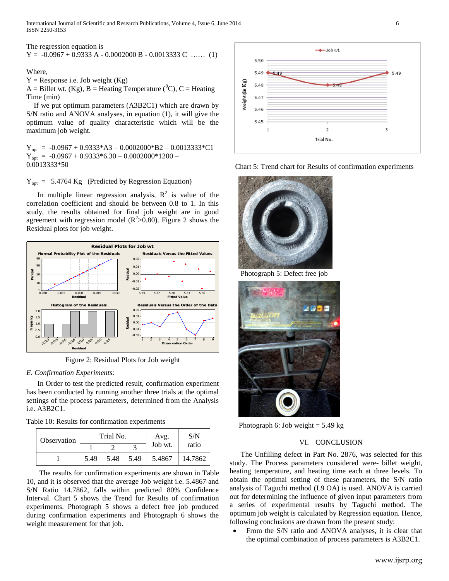International Journal of Scientific and Research Publications, Volume 4, Issue 6, June 2014 6 ISSN 2250-3153

The regression equation is

 $Y = -0.0967 + 0.9333$  A  $- 0.0002000$  B  $- 0.0013333$  C …… (1)

Where,

 $Y =$  Response i.e. Job weight (Kg)

 $A =$  Billet wt. (Kg), B = Heating Temperature ( ${}^{0}C$ ), C = Heating Time (min)

 If we put optimum parameters (A3B2C1) which are drawn by S/N ratio and ANOVA analyses, in equation (1), it will give the optimum value of quality characteristic which will be the maximum job weight.

 $Y_{opt} = -0.0967 + 0.9333*A3 - 0.0002000*B2 - 0.0013333*C1$  $Y_{opt} = -0.0967 + 0.9333 * 6.30 - 0.0002000 * 1200 -$ 0.0013333\*50

 $Y_{opt} = 5.4764$  Kg (Predicted by Regression Equation)

In multiple linear regression analysis,  $R^2$  is value of the correlation coefficient and should be between 0.8 to 1. In this study, the results obtained for final job weight are in good agreement with regression model  $(R^2>0.80)$ . Figure 2 shows the Residual plots for job weight.



Figure 2: Residual Plots for Job weight

## *E. Confirmation Experiments:*

 In Order to test the predicted result, confirmation experiment has been conducted by running another three trials at the optimal settings of the process parameters, determined from the Analysis i.e. A3B2C1.

|  |  | Table 10: Results for confirmation experiments |  |
|--|--|------------------------------------------------|--|
|  |  |                                                |  |

| Observation | Trial No. |      |      | Avg.    | S/N     |  |
|-------------|-----------|------|------|---------|---------|--|
|             |           |      |      | Job wt. | ratio   |  |
|             | 5.49      | 5.48 | 5.49 | 5.4867  | 14.7862 |  |

 The results for confirmation experiments are shown in Table 10, and it is observed that the average Job weight i.e. 5.4867 and S/N Ratio 14.7862, falls within predicted 80% Confidence Interval. Chart 5 shows the Trend for Results of confirmation experiments. Photograph 5 shows a defect free job produced during confirmation experiments and Photograph 6 shows the weight measurement for that job.



Chart 5: Trend chart for Results of confirmation experiments



Photograph 5: Defect free job



Photograph 6: Job weight  $= 5.49 \text{ kg}$ 

## VI. CONCLUSION

 The Unfilling defect in Part No. 2876, was selected for this study. The Process parameters considered were- billet weight, heating temperature, and heating time each at three levels. To obtain the optimal setting of these parameters, the S/N ratio analysis of Taguchi method (L9 OA) is used. ANOVA is carried out for determining the influence of given input parameters from a series of experimental results by Taguchi method. The optimum job weight is calculated by Regression equation. Hence, following conclusions are drawn from the present study:

• From the S/N ratio and ANOVA analyses, it is clear that the optimal combination of process parameters is A3B2C1.